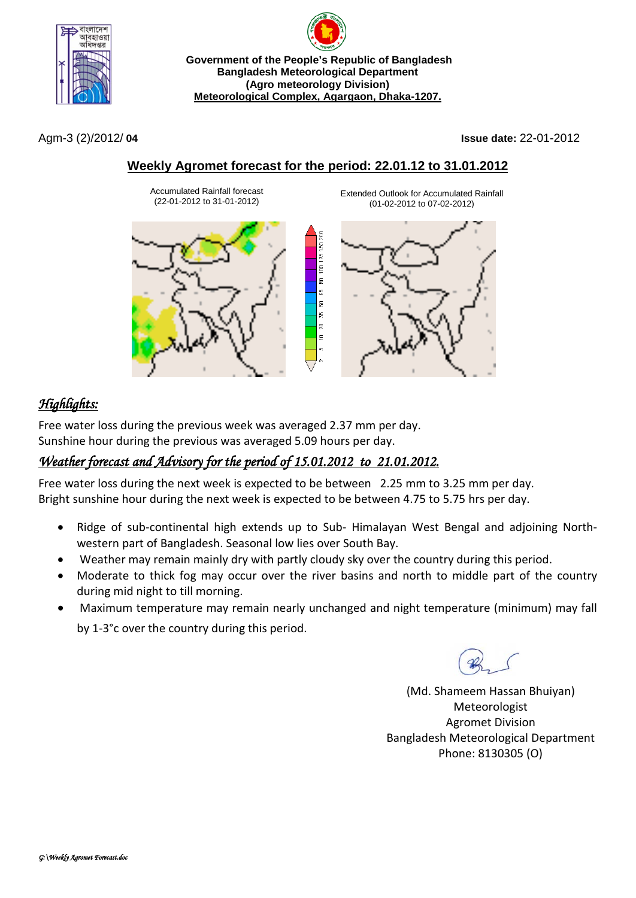

**Government of the People's Republic of Bangladesh Bangladesh Meteorological Department (Agro meteorology Division) Meteorological Complex, Agargaon, Dhaka-1207.**

Agm-3 (2)/2012/ **04 Issue date:** 22-01-2012

## **Weekly Agromet forecast for the period: 22.01.12 to 31.01.2012**

100.125.150

듩 ξĒ, ā ξĒ,  $\approx$  $\epsilon$ 

Accumulated Rainfall forecast (22-01-2012 to 31-01-2012)





Extended Outlook for Accumulated Rainfall

# *Highlights:*

Free water loss during the previous week was averaged 2.37 mm per day. Sunshine hour during the previous was averaged 5.09 hours per day.

## *Weather forecast and Advisory for the period of 15.01.2012 to 21.01.2012.*

Free water loss during the next week is expected to be between 2.25 mm to 3.25 mm per day. Bright sunshine hour during the next week is expected to be between 4.75 to 5.75 hrs per day.

- Ridge of sub-continental high extends up to Sub- Himalayan West Bengal and adjoining Northwestern part of Bangladesh. Seasonal low lies over South Bay.
- Weather may remain mainly dry with partly cloudy sky over the country during this period.
- Moderate to thick fog may occur over the river basins and north to middle part of the country during mid night to till morning.
- Maximum temperature may remain nearly unchanged and night temperature (minimum) may fall by 1-3°c over the country during this period.

(Md. Shameem Hassan Bhuiyan) Meteorologist Agromet Division Bangladesh Meteorological Department Phone: 8130305 (O)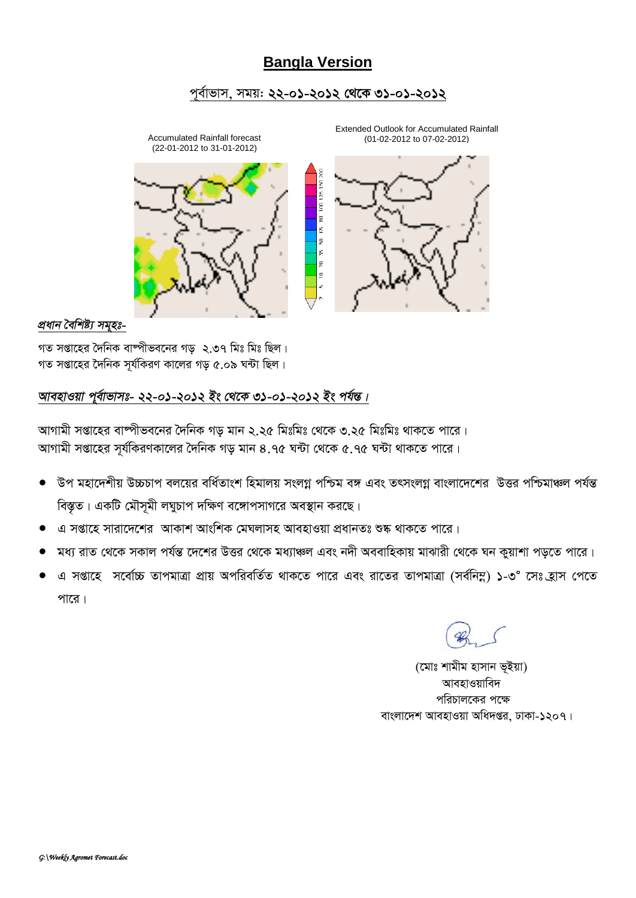### **Bangla Version**

### *c~e©vfvm, mgq: 22-01-2012 †\_‡K 31-01-2012*



#### *প্ৰধান বৈশিষ্ট্য সম্মহঃ-*

গত সপ্তাহের দৈনিক বাম্পীভবনের গড় *২.*৩৭ মিঃ মিঃ ছিল। গত সপ্তাহের দৈনিক সূর্যকিরণ কালের গড় ৫.০৯ ঘন্টা ছিল।

### *আবহাওয়া পূৰ্বাভাসঃ- ২২-০১-২০১২ ইং থেকে ৩১-০১-২০১২ ইং পৰ্যন্ত।*

স্মাগামী সপ্তাহের বাষ্পীভবনের দৈনিক গড মান ২.২৫ মিঃমিঃ থেকে ৩.২৫ মিঃমিঃ থাকতে পারে। স্মাগামী সপ্তাহের সূর্যকিরণকালের দৈনিক গড় মান ৪.৭৫ ঘন্টা থেকে ৫.৭৫ ঘন্টা থাকতে পারে।

- `উপ মহাদেশীয় উচ্চচাপ বলয়ের বর্ধিতাংশ হিমালয় সংলগ্ন পশ্চিম বঙ্গ এবং তৎসংলগ্ন বাংলাদেশের উত্তর পশ্চিমাঞ্চল পর্যন্ত *বিস্তৃত*। একটি মৌসূমী লঘুচাপ দক্ষিণ বঙ্গোপসাগরে অবস্থান করছে।
- $\alpha$  সপ্তাহে সারাদেশের আকাশ আংশিক মেঘলাসহ আবহাওয়া প্রধানতঃ শুষ্ক থাকতে পারে।
- মধ্য রাত থেকে সকাল পর্যন্ত দেশের উত্তর থেকে মধ্যাঞ্চল এবং নদী অববাহিকায় মাঝারী থেকে ঘন কুয়াশা পড়তে পারে।
- *G mßv‡n* m‡ev©"P ZvcgvÎv cÖvq AcwiewZ©Z \_vK‡Z cv‡i Ges iv‡Zi ZvcgvÎv (me©wb¤œ) 1*-3*° *‡mt n«vm †c‡Z*  <u>পারে</u>।

*(*মোঃ শামীম হাসান ভূইয়া) **আবহাওয়াবিদ** পরিচালকের পক্ষে বাংলাদেশ আবহাওয়া অধিদ**প্তর, ঢাকা-১২০৭।**